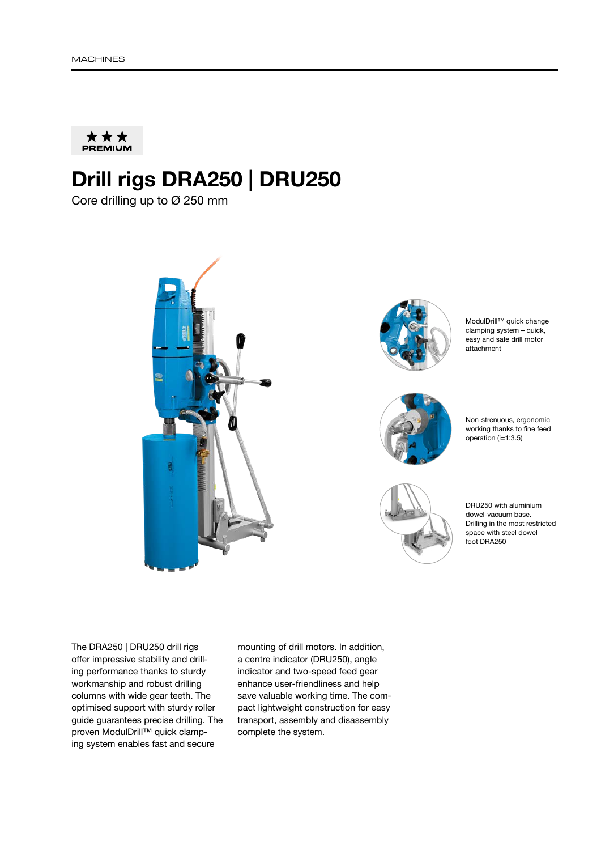

## Drill rigs DRA250 | DRU250

Core drilling up to Ø 250 mm





ModulDrill™ quick change clamping system – quick, easy and safe drill motor attachment



Non-strenuous, ergonomic working thanks to fine feed operation (i=1:3.5)



DRU250 with aluminium dowel-vacuum base. Drilling in the most restricted space with steel dowel foot DRA250

The DRA250 | DRU250 drill rigs offer impressive stability and drilling performance thanks to sturdy workmanship and robust drilling columns with wide gear teeth. The optimised support with sturdy roller guide guarantees precise drilling. The proven ModulDrill™ quick clamping system enables fast and secure

mounting of drill motors. In addition, a centre indicator (DRU250), angle indicator and two-speed feed gear enhance user-friendliness and help save valuable working time. The compact lightweight construction for easy transport, assembly and disassembly complete the system.